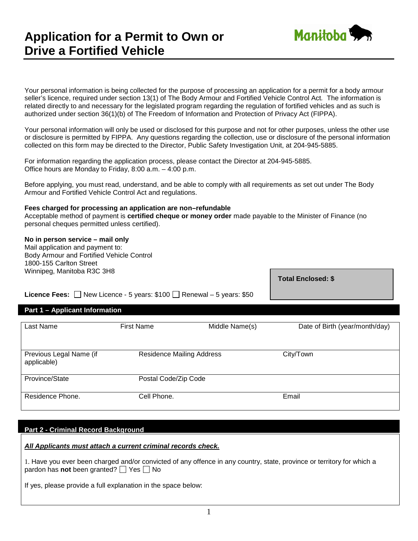# **Application for a Permit to Own or Drive a Fortified Vehicle**



Your personal information is being collected for the purpose of processing an application for a permit for a body armour seller's licence, required under section 13(1) of The Body Armour and Fortified Vehicle Control Act*.* The information is related directly to and necessary for the legislated program regarding the regulation of fortified vehicles and as such is authorized under section 36(1)(b) of The Freedom of Information and Protection of Privacy Act (FIPPA).

Your personal information will only be used or disclosed for this purpose and not for other purposes, unless the other use or disclosure is permitted by FIPPA. Any questions regarding the collection, use or disclosure of the personal information collected on this form may be directed to the Director, Public Safety Investigation Unit, at 204-945-5885.

For information regarding the application process, please contact the Director at 204-945-5885. Office hours are Monday to Friday, 8:00 a.m. – 4:00 p.m.

Before applying, you must read, understand, and be able to comply with all requirements as set out under The Body Armour and Fortified Vehicle Control Act and regulations.

## **Fees charged for processing an application are non–refundable**

Acceptable method of payment is **certified cheque or money order** made payable to the Minister of Finance (no personal cheques permitted unless certified).

## **No in person service – mail only**

Mail application and payment to: Body Armour and Fortified Vehicle Control 1800-155 Carlton Street Winnipeg, Manitoba R3C 3H8

**Total Enclosed: \$**

**Licence Fees:**  $\Box$  New Licence - 5 years: \$100  $\Box$  Renewal – 5 years: \$50

# **Part 1 – Applicant Information**

| Last Name                              | <b>First Name</b>                | Middle Name(s) | Date of Birth (year/month/day) |  |  |
|----------------------------------------|----------------------------------|----------------|--------------------------------|--|--|
|                                        |                                  |                |                                |  |  |
|                                        |                                  |                |                                |  |  |
| Previous Legal Name (if<br>applicable) | <b>Residence Mailing Address</b> |                | City/Town                      |  |  |
| Province/State                         | Postal Code/Zip Code             |                |                                |  |  |
| Residence Phone.                       | Cell Phone.                      |                | Email                          |  |  |

## **Part 2 - Criminal Record Background**

### *All Applicants must attach a current criminal records check.*

1. Have you ever been charged and/or convicted of any offence in any country, state, province or territory for which a pardon has **not** been granted?  $\Box$  Yes  $\Box$  No

If yes, please provide a full explanation in the space below: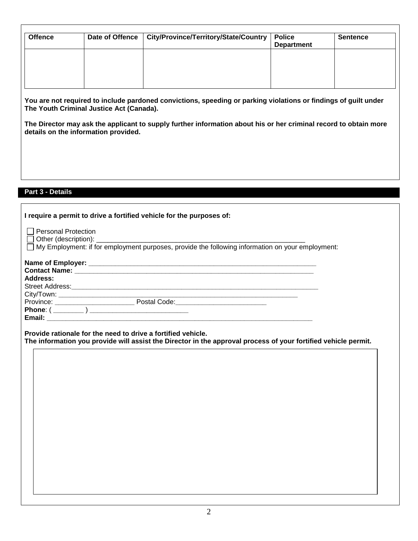| <b>Offence</b> | Date of Offence   City/Province/Territory/State/Country | <b>Police</b><br><b>Department</b> | <b>Sentence</b> |
|----------------|---------------------------------------------------------|------------------------------------|-----------------|
|                |                                                         |                                    |                 |
|                |                                                         |                                    |                 |
|                |                                                         |                                    |                 |
|                |                                                         |                                    |                 |

**You are not required to include pardoned convictions, speeding or parking violations or findings of guilt under The Youth Criminal Justice Act (Canada).**

**The Director may ask the applicant to supply further information about his or her criminal record to obtain more details on the information provided.**

# **Part 3 - Details**

| I require a permit to drive a fortified vehicle for the purposes of:                                            |  |
|-----------------------------------------------------------------------------------------------------------------|--|
| Personal Protection                                                                                             |  |
|                                                                                                                 |  |
|                                                                                                                 |  |
| Address:                                                                                                        |  |
|                                                                                                                 |  |
|                                                                                                                 |  |
| Province: <u>____________________________</u> Postal Code: ___________________________                          |  |
|                                                                                                                 |  |
| Email: 2008. 2009. 2009. 2010. 2010. 2010. 2010. 2010. 2010. 2010. 2010. 2010. 2010. 2010. 2010. 2010. 2010. 20 |  |
| Provide rationale for the need to drive a fortified vehicle.                                                    |  |

**The information you provide will assist the Director in the approval process of your fortified vehicle permit.**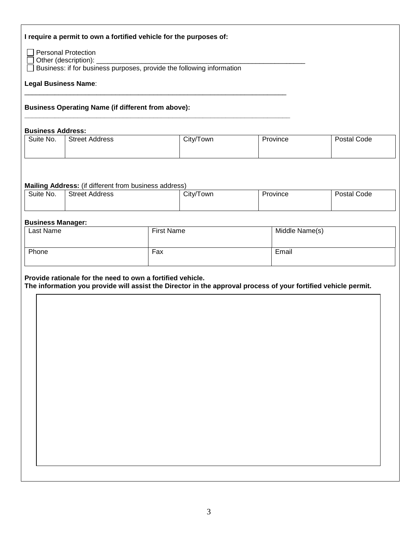| <b>Business Operating Name (if different from above):</b><br>City/Town<br><b>Street Address</b><br>Postal Code<br>Province<br><b>Street Address</b><br>City/Town<br>Postal Code<br>Province<br><b>First Name</b><br>Middle Name(s)<br>Fax<br>Email                                                                                            | <b>Personal Protection</b><br>□ Other (description): _________________<br><b>Legal Business Name:</b> | □ Business: if for business purposes, provide the following information |  |  |
|-----------------------------------------------------------------------------------------------------------------------------------------------------------------------------------------------------------------------------------------------------------------------------------------------------------------------------------------------|-------------------------------------------------------------------------------------------------------|-------------------------------------------------------------------------|--|--|
| <b>Business Address:</b><br>Suite No.<br>Mailing Address: (if different from business address)<br>Suite No.<br><b>Business Manager:</b><br>Last Name<br>Phone<br>Provide rationale for the need to own a fortified vehicle.<br>The information you provide will assist the Director in the approval process of your fortified vehicle permit. |                                                                                                       |                                                                         |  |  |
|                                                                                                                                                                                                                                                                                                                                               |                                                                                                       |                                                                         |  |  |
|                                                                                                                                                                                                                                                                                                                                               |                                                                                                       |                                                                         |  |  |
|                                                                                                                                                                                                                                                                                                                                               |                                                                                                       |                                                                         |  |  |
|                                                                                                                                                                                                                                                                                                                                               |                                                                                                       |                                                                         |  |  |
|                                                                                                                                                                                                                                                                                                                                               |                                                                                                       |                                                                         |  |  |
|                                                                                                                                                                                                                                                                                                                                               |                                                                                                       |                                                                         |  |  |